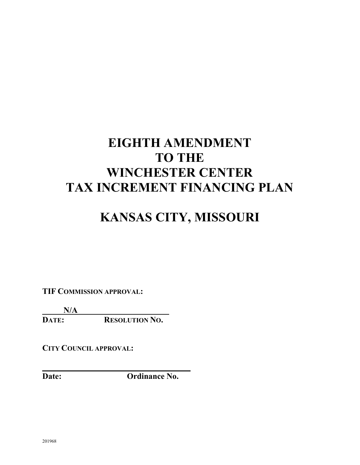# **EIGHTH AMENDMENT TO THE WINCHESTER CENTER TAX INCREMENT FINANCING PLAN**

## **KANSAS CITY, MISSOURI**

**TIF COMMISSION APPROVAL:**

 $\frac{N/A}{\text{DATE:}}$ 

**RESOLUTION NO.** 

**CITY COUNCIL APPROVAL:**

**Date: Ordinance No.**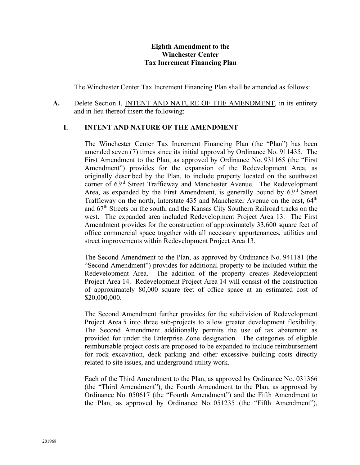#### **Eighth Amendment to the Winchester Center Tax Increment Financing Plan**

The Winchester Center Tax Increment Financing Plan shall be amended as follows:

**A.** Delete Section I, INTENT AND NATURE OF THE AMENDMENT, in its entirety and in lieu thereof insert the following:

#### **I. INTENT AND NATURE OF THE AMENDMENT**

The Winchester Center Tax Increment Financing Plan (the "Plan") has been amended seven (7) times since its initial approval by Ordinance No. 911435. The First Amendment to the Plan, as approved by Ordinance No. 931165 (the "First Amendment") provides for the expansion of the Redevelopment Area, as originally described by the Plan, to include property located on the southwest corner of 63rd Street Trafficway and Manchester Avenue. The Redevelopment Area, as expanded by the First Amendment, is generally bound by  $63<sup>rd</sup>$  Street Trafficway on the north, Interstate  $435$  and Manchester Avenue on the east,  $64<sup>th</sup>$ and 67th Streets on the south, and the Kansas City Southern Railroad tracks on the west. The expanded area included Redevelopment Project Area 13. The First Amendment provides for the construction of approximately 33,600 square feet of office commercial space together with all necessary appurtenances, utilities and street improvements within Redevelopment Project Area 13.

The Second Amendment to the Plan, as approved by Ordinance No. 941181 (the "Second Amendment") provides for additional property to be included within the Redevelopment Area. The addition of the property creates Redevelopment Project Area 14. Redevelopment Project Area 14 will consist of the construction of approximately 80,000 square feet of office space at an estimated cost of \$20,000,000.

The Second Amendment further provides for the subdivision of Redevelopment Project Area 5 into three sub-projects to allow greater development flexibility. The Second Amendment additionally permits the use of tax abatement as provided for under the Enterprise Zone designation. The categories of eligible reimbursable project costs are proposed to be expanded to include reimbursement for rock excavation, deck parking and other excessive building costs directly related to site issues, and underground utility work.

Each of the Third Amendment to the Plan, as approved by Ordinance No. 031366 (the "Third Amendment"), the Fourth Amendment to the Plan, as approved by Ordinance No. 050617 (the "Fourth Amendment") and the Fifth Amendment to the Plan, as approved by Ordinance No. 051235 (the "Fifth Amendment"),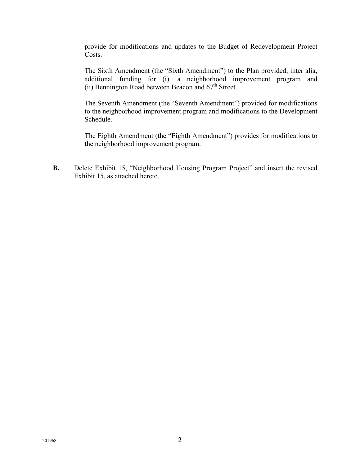provide for modifications and updates to the Budget of Redevelopment Project Costs.

The Sixth Amendment (the "Sixth Amendment") to the Plan provided, inter alia, additional funding for (i) a neighborhood improvement program and (ii) Bennington Road between Beacon and  $67<sup>th</sup>$  Street.

The Seventh Amendment (the "Seventh Amendment") provided for modifications to the neighborhood improvement program and modifications to the Development Schedule.

The Eighth Amendment (the "Eighth Amendment") provides for modifications to the neighborhood improvement program.

**B.** Delete Exhibit 15, "Neighborhood Housing Program Project" and insert the revised Exhibit 15, as attached hereto.